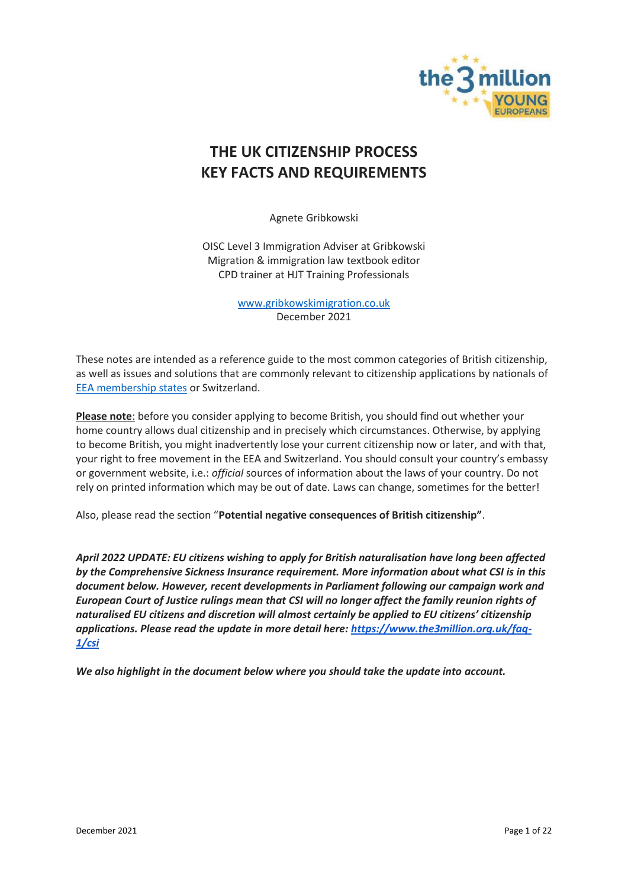

# **THE UK CITIZENSHIP PROCESS KEY FACTS AND REQUIREMENTS**

Agnete Gribkowski

OISC Level 3 Immigration Adviser at Gribkowski Migration & immigration law textbook editor CPD trainer at HJT Training Professionals

> [www.gribkowskimigration.co.uk](http://www.gribkowskimigration.co.uk/) December 2021

These notes are intended as a reference guide to the most common categories of British citizenship, as well as issues and solutions that are commonly relevant to citizenship applications by nationals of [EEA membership states](https://www.gov.uk/eu-eea) or Switzerland.

**Please note**: before you consider applying to become British, you should find out whether your home country allows dual citizenship and in precisely which circumstances. Otherwise, by applying to become British, you might inadvertently lose your current citizenship now or later, and with that, your right to free movement in the EEA and Switzerland. You should consult your country's embassy or government website, i.e.: *official* sources of information about the laws of your country. Do not rely on printed information which may be out of date. Laws can change, sometimes for the better!

Also, please read the section "**Potential negative consequences of British citizenship"**.

*April 2022 UPDATE: EU citizens wishing to apply for British naturalisation have long been affected by the Comprehensive Sickness Insurance requirement. More information about what CSI is in this document below. However, recent developments in Parliament following our campaign work and European Court of Justice rulings mean that CSI will no longer affect the family reunion rights of naturalised EU citizens and discretion will almost certainly be applied to EU citizens' citizenship applications. Please read the update in more detail here: [https://www.the3million.org.uk/faq-](https://www.the3million.org.uk/faq-1/csi)[1/csi](https://www.the3million.org.uk/faq-1/csi)*

*We also highlight in the document below where you should take the update into account.*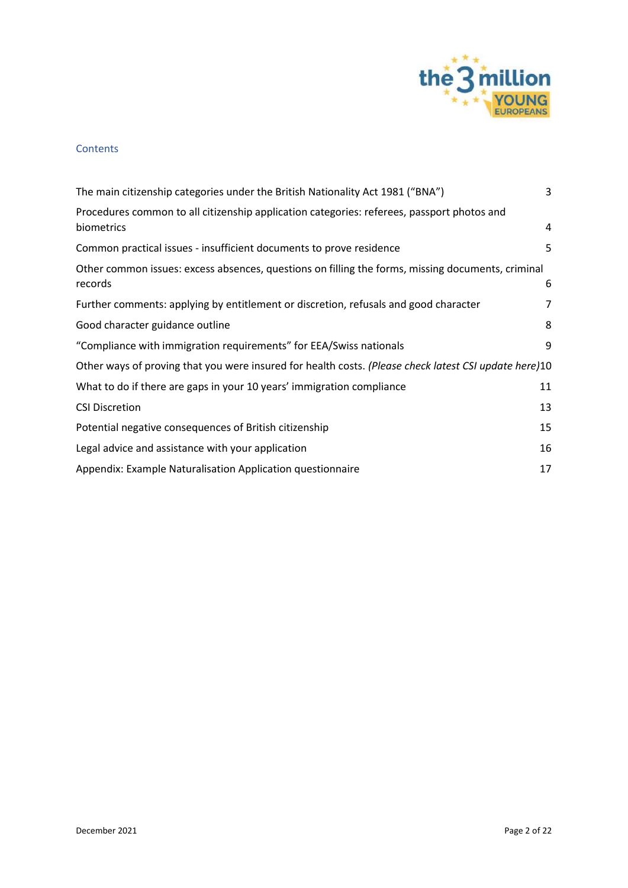

#### **Contents**

| The main citizenship categories under the British Nationality Act 1981 ("BNA")                               | 3  |
|--------------------------------------------------------------------------------------------------------------|----|
| Procedures common to all citizenship application categories: referees, passport photos and<br>biometrics     | 4  |
| Common practical issues - insufficient documents to prove residence                                          | 5  |
| Other common issues: excess absences, questions on filling the forms, missing documents, criminal<br>records | 6  |
| Further comments: applying by entitlement or discretion, refusals and good character                         | 7  |
| Good character guidance outline                                                                              | 8  |
| "Compliance with immigration requirements" for EEA/Swiss nationals                                           | 9  |
| Other ways of proving that you were insured for health costs. (Please check latest CSI update here)10        |    |
| What to do if there are gaps in your 10 years' immigration compliance                                        | 11 |
| <b>CSI Discretion</b>                                                                                        | 13 |
| Potential negative consequences of British citizenship                                                       | 15 |
| Legal advice and assistance with your application                                                            | 16 |
| Appendix: Example Naturalisation Application questionnaire                                                   | 17 |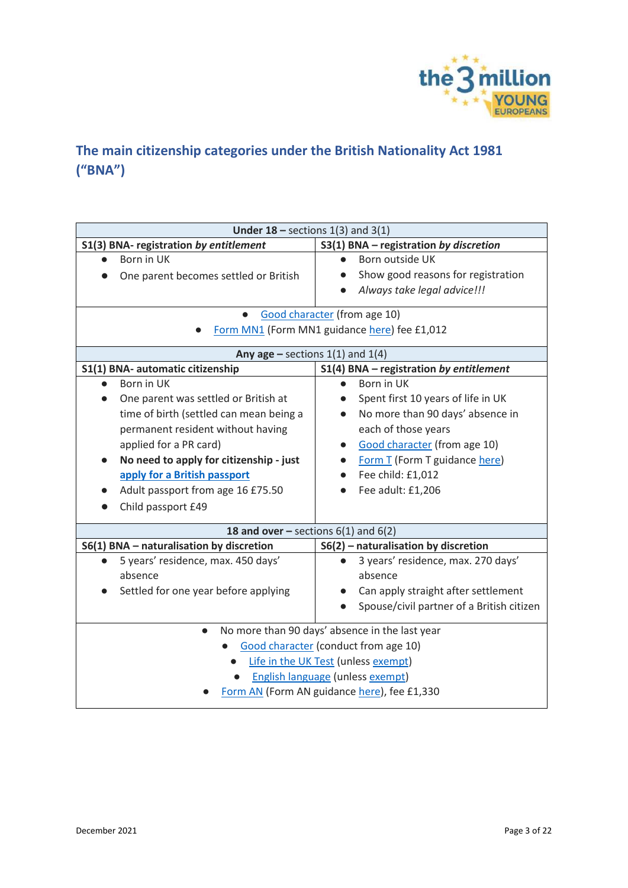

# <span id="page-2-0"></span>**The main citizenship categories under the British Nationality Act 1981 ("BNA")**

| Under $18$ – sections $1(3)$ and $3(1)$                     |                                               |  |
|-------------------------------------------------------------|-----------------------------------------------|--|
| S1(3) BNA- registration by entitlement                      | S3(1) BNA - registration by discretion        |  |
| Born in UK                                                  | Born outside UK                               |  |
| One parent becomes settled or British                       | Show good reasons for registration            |  |
|                                                             | Always take legal advice!!!                   |  |
| Good character (from age 10)                                |                                               |  |
| Form MN1 (Form MN1 guidance here) fee £1,012                |                                               |  |
| Any age $-$ sections 1(1) and 1(4)                          |                                               |  |
| S1(1) BNA- automatic citizenship                            | $S1(4)$ BNA - registration by entitlement     |  |
| Born in UK                                                  | Born in UK                                    |  |
| One parent was settled or British at                        | Spent first 10 years of life in UK            |  |
| time of birth (settled can mean being a                     | No more than 90 days' absence in<br>$\bullet$ |  |
| permanent resident without having                           | each of those years                           |  |
| applied for a PR card)                                      | <b>Good character</b> (from age 10)           |  |
| No need to apply for citizenship - just                     | Form T (Form T guidance here)                 |  |
| apply for a British passport                                | Fee child: £1,012                             |  |
| Adult passport from age 16 £75.50                           | Fee adult: £1,206                             |  |
| Child passport £49                                          |                                               |  |
| 18 and over – sections $6(1)$ and $6(2)$                    |                                               |  |
| S6(1) BNA - naturalisation by discretion                    | S6(2) - naturalisation by discretion          |  |
| 5 years' residence, max. 450 days'                          | 3 years' residence, max. 270 days'            |  |
| absence                                                     | absence                                       |  |
| Settled for one year before applying                        | Can apply straight after settlement           |  |
|                                                             | Spouse/civil partner of a British citizen     |  |
| No more than 90 days' absence in the last year<br>$\bullet$ |                                               |  |
| Good character (conduct from age 10)                        |                                               |  |
| Life in the UK Test (unless exempt)                         |                                               |  |
| English language (unless exempt)                            |                                               |  |
| Form AN (Form AN guidance here), fee £1,330                 |                                               |  |
|                                                             |                                               |  |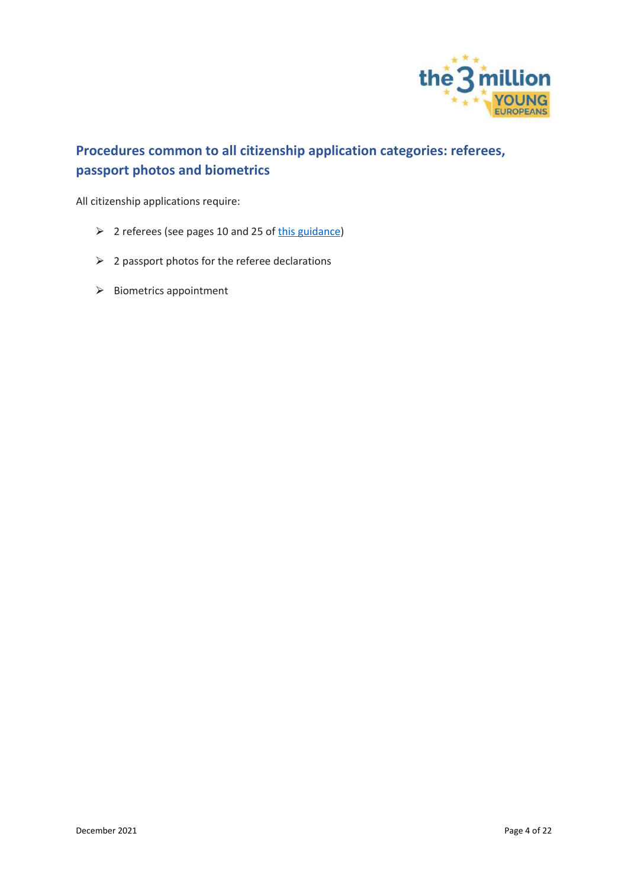

## <span id="page-3-0"></span>**Procedures common to all citizenship application categories: referees, passport photos and biometrics**

All citizenship applications require:

- $\geq$  2 referees (see pages 10 and 25 o[f this guidance\)](https://assets.publishing.service.gov.uk/government/uploads/system/uploads/attachment_data/file/631639/Nationality-policy-general-information-all-British-nationals-v1.0EXT.pdf)
- $\geqslant$  2 passport photos for the referee declarations
- > Biometrics appointment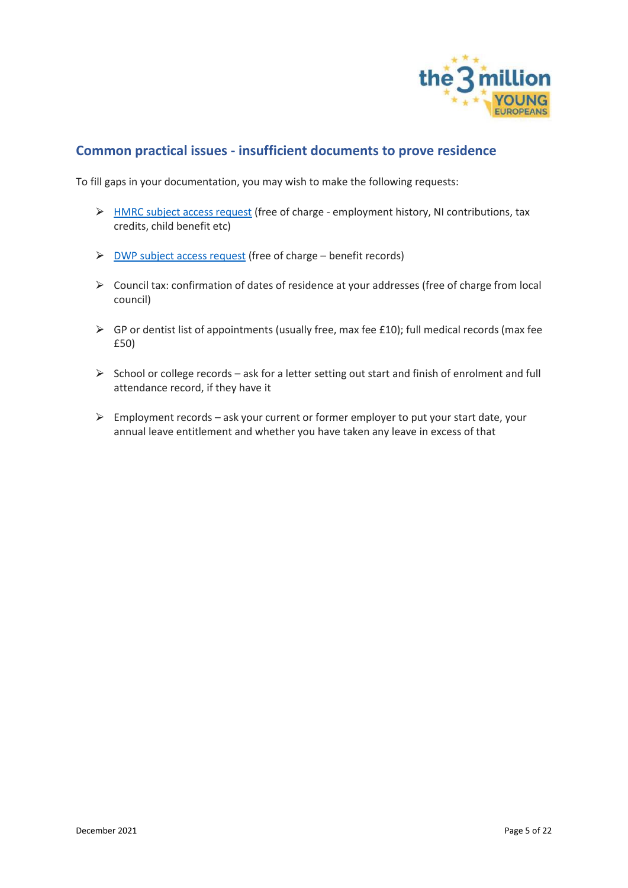

### <span id="page-4-0"></span>**Common practical issues - insufficient documents to prove residence**

To fill gaps in your documentation, you may wish to make the following requests:

- ▶ [HMRC subject access request](https://www.gov.uk/guidance/hmrc-subject-access-request) (free of charge employment history, NI contributions, tax credits, child benefit etc)
- $\triangleright$  [DWP subject access request](https://www.gov.uk/guidance/request-your-personal-information-from-the-department-for-work-and-pensions) (free of charge benefit records)
- ⮚ Council tax: confirmation of dates of residence at your addresses (free of charge from local council)
- $\triangleright$  GP or dentist list of appointments (usually free, max fee £10); full medical records (max fee £50)
- $\triangleright$  School or college records ask for a letter setting out start and finish of enrolment and full attendance record, if they have it
- $\triangleright$  Employment records ask your current or former employer to put your start date, your annual leave entitlement and whether you have taken any leave in excess of that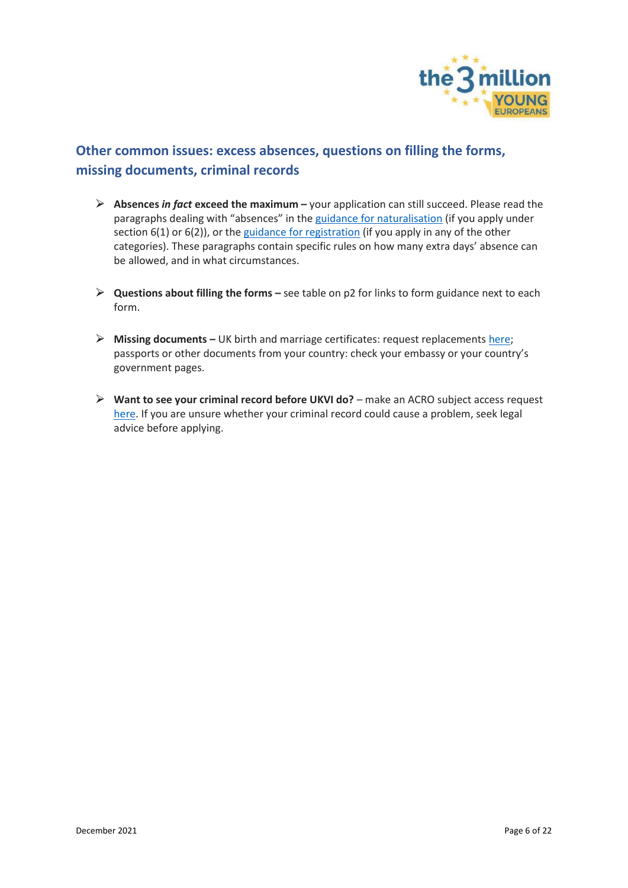

## <span id="page-5-0"></span>**Other common issues: excess absences, questions on filling the forms, missing documents, criminal records**

- ⮚ **Absences** *in fact* **exceed the maximum –** your application can still succeed. Please read the paragraphs dealing with "absences" in the [guidance for naturalisation](https://assets.publishing.service.gov.uk/government/uploads/system/uploads/attachment_data/file/914183/Naturalisation-as-a-british-citizen-by-discretion_v6.0.pdf) (if you apply under section 6(1) or 6(2)), or the [guidance for registration](https://assets.publishing.service.gov.uk/government/uploads/system/uploads/attachment_data/file/879763/registration-as-a-british-citizen-children-v6.0ext.pdf) (if you apply in any of the other categories). These paragraphs contain specific rules on how many extra days' absence can be allowed, and in what circumstances.
- ⮚ **Questions about filling the forms –** see table on p2 for links to form guidance next to each form.
- ⮚ **Missing documents –** UK birth and marriage certificates: request replacements [here;](https://www.gov.uk/order-copy-birth-death-marriage-certificate) passports or other documents from your country: check your embassy or your country's government pages.
- ⮚ **Want to see your criminal record before UKVI do?** make an ACRO subject access request [here.](https://www.acro.police.uk/Subject-access) If you are unsure whether your criminal record could cause a problem, seek legal advice before applying.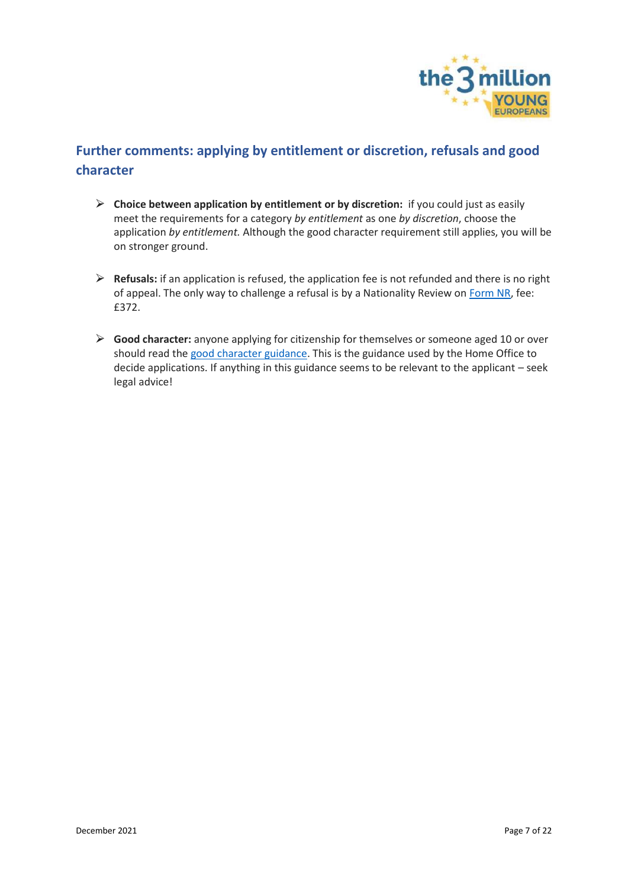

## <span id="page-6-0"></span>**Further comments: applying by entitlement or discretion, refusals and good character**

- ⮚ **Choice between application by entitlement or by discretion:** if you could just as easily meet the requirements for a category *by entitlement* as one *by discretion*, choose the application *by entitlement.* Although the good character requirement still applies, you will be on stronger ground.
- ⮚ **Refusals:** if an application is refused, the application fee is not refunded and there is no right of appeal. The only way to challenge a refusal is by a Nationality Review on [Form NR,](https://www.gov.uk/government/publications/application-for-review-when-british-citizenship-is-refused-form-nr) fee: £372.
- ⮚ **Good character:** anyone applying for citizenship for themselves or someone aged 10 or over should read th[e good character guidance.](https://www.gov.uk/government/publications/good-character-nationality-policy-guidance) This is the guidance used by the Home Office to decide applications. If anything in this guidance seems to be relevant to the applicant – seek legal advice!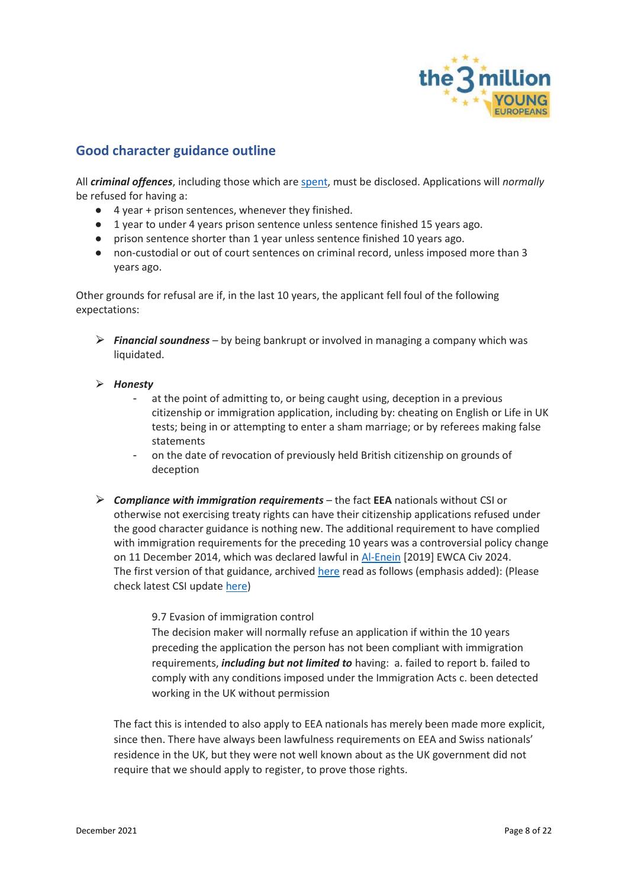

### <span id="page-7-0"></span>**Good character guidance outline**

All *criminal offences*, including those which ar[e spent,](https://hub.unlock.org.uk/knowledgebase/a-simple-guide-to-the-roa/) must be disclosed. Applications will *normally* be refused for having a:

- 4 year + prison sentences, whenever they finished.
- 1 year to under 4 years prison sentence unless sentence finished 15 years ago.
- prison sentence shorter than 1 year unless sentence finished 10 years ago.
- non-custodial or out of court sentences on criminal record, unless imposed more than 3 years ago.

Other grounds for refusal are if, in the last 10 years, the applicant fell foul of the following expectations:

- ⮚ *Financial soundness* by being bankrupt or involved in managing a company which was liquidated.
- ⮚ *Honesty* 
	- at the point of admitting to, or being caught using, deception in a previous citizenship or immigration application, including by: cheating on English or Life in UK tests; being in or attempting to enter a sham marriage; or by referees making false statements
	- on the date of revocation of previously held British citizenship on grounds of deception
- ⮚ *Compliance with immigration requirements* the fact **EEA** nationals without CSI or otherwise not exercising treaty rights can have their citizenship applications refused under the good character guidance is nothing new. The additional requirement to have complied with immigration requirements for the preceding 10 years was a controversial policy change on 11 December 2014, which was declared lawful in [Al-Enein](https://www.bailii.org/ew/cases/EWCA/Civ/2019/2024.html) [2019] EWCA Civ 2024. The first version of that guidance, archive[d here](http://web.archive.org/web/20170310181726/https:/www.gov.uk/government/uploads/system/uploads/attachment_data/file/406368/Chapter_18_Annex_D_v02.pdf) read as follows (emphasis added): (Please check latest CSI update [here\)](https://www.the3million.org.uk/faq-1/csi)

9.7 Evasion of immigration control

The decision maker will normally refuse an application if within the 10 years preceding the application the person has not been compliant with immigration requirements, *including but not limited to* having: a. failed to report b. failed to comply with any conditions imposed under the Immigration Acts c. been detected working in the UK without permission

The fact this is intended to also apply to EEA nationals has merely been made more explicit, since then. There have always been lawfulness requirements on EEA and Swiss nationals' residence in the UK, but they were not well known about as the UK government did not require that we should apply to register, to prove those rights.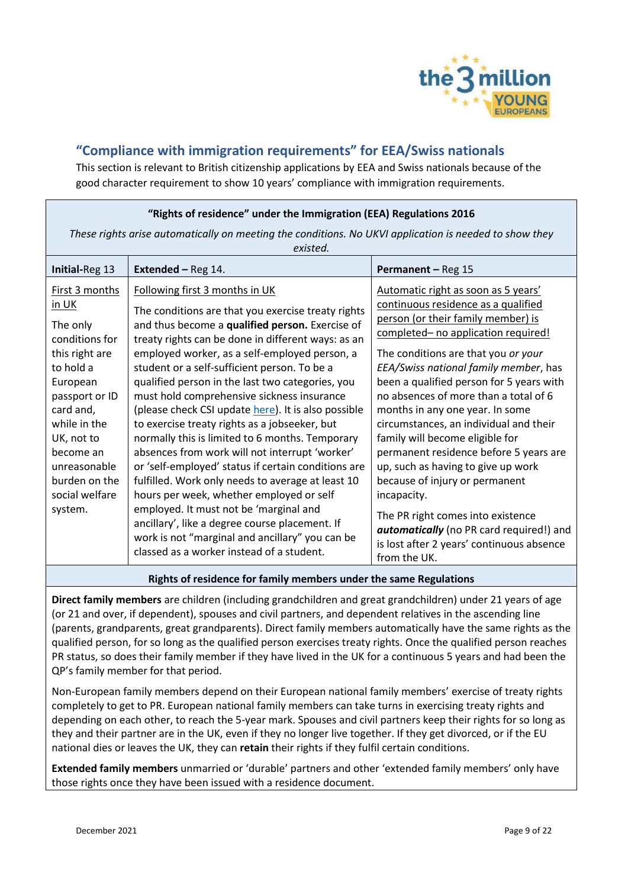

## <span id="page-8-0"></span>**"Compliance with immigration requirements" for EEA/Swiss nationals**

This section is relevant to British citizenship applications by EEA and Swiss nationals because of the good character requirement to show 10 years' compliance with immigration requirements.

| "Rights of residence" under the Immigration (EEA) Regulations 2016                                                                                                                                                                                |                                                                                                                                                                                                                                                                                                                                                                                                                                                                                                                                                                                                                                                                                                                                                                                                                                                                                                                                                                   |                                                                                                                                                                                                                                                                                                                                                                                                                                                                                                                                                                                                                                                                                                             |
|---------------------------------------------------------------------------------------------------------------------------------------------------------------------------------------------------------------------------------------------------|-------------------------------------------------------------------------------------------------------------------------------------------------------------------------------------------------------------------------------------------------------------------------------------------------------------------------------------------------------------------------------------------------------------------------------------------------------------------------------------------------------------------------------------------------------------------------------------------------------------------------------------------------------------------------------------------------------------------------------------------------------------------------------------------------------------------------------------------------------------------------------------------------------------------------------------------------------------------|-------------------------------------------------------------------------------------------------------------------------------------------------------------------------------------------------------------------------------------------------------------------------------------------------------------------------------------------------------------------------------------------------------------------------------------------------------------------------------------------------------------------------------------------------------------------------------------------------------------------------------------------------------------------------------------------------------------|
| These rights arise automatically on meeting the conditions. No UKVI application is needed to show they<br>existed.                                                                                                                                |                                                                                                                                                                                                                                                                                                                                                                                                                                                                                                                                                                                                                                                                                                                                                                                                                                                                                                                                                                   |                                                                                                                                                                                                                                                                                                                                                                                                                                                                                                                                                                                                                                                                                                             |
| Initial-Reg 13                                                                                                                                                                                                                                    | <b>Extended - Reg 14.</b>                                                                                                                                                                                                                                                                                                                                                                                                                                                                                                                                                                                                                                                                                                                                                                                                                                                                                                                                         | Permanent - Reg 15                                                                                                                                                                                                                                                                                                                                                                                                                                                                                                                                                                                                                                                                                          |
| First 3 months<br>in UK<br>The only<br>conditions for<br>this right are<br>to hold a<br>European<br>passport or ID<br>card and,<br>while in the<br>UK, not to<br>become an<br>unreasonable<br>burden on the<br>social welfare<br>system.          | Following first 3 months in UK<br>The conditions are that you exercise treaty rights<br>and thus become a qualified person. Exercise of<br>treaty rights can be done in different ways: as an<br>employed worker, as a self-employed person, a<br>student or a self-sufficient person. To be a<br>qualified person in the last two categories, you<br>must hold comprehensive sickness insurance<br>(please check CSI update here). It is also possible<br>to exercise treaty rights as a jobseeker, but<br>normally this is limited to 6 months. Temporary<br>absences from work will not interrupt 'worker'<br>or 'self-employed' status if certain conditions are<br>fulfilled. Work only needs to average at least 10<br>hours per week, whether employed or self<br>employed. It must not be 'marginal and<br>ancillary', like a degree course placement. If<br>work is not "marginal and ancillary" you can be<br>classed as a worker instead of a student. | Automatic right as soon as 5 years'<br>continuous residence as a qualified<br>person (or their family member) is<br>completed- no application required!<br>The conditions are that you or your<br>EEA/Swiss national family member, has<br>been a qualified person for 5 years with<br>no absences of more than a total of 6<br>months in any one year. In some<br>circumstances, an individual and their<br>family will become eligible for<br>permanent residence before 5 years are<br>up, such as having to give up work<br>because of injury or permanent<br>incapacity.<br>The PR right comes into existence<br>automatically (no PR card required!) and<br>is lost after 2 years' continuous absence |
| from the UK.<br>$\mathbf{r}$ , and the contract of the contract of the contract of the contract of the contract of the contract of the contract of the contract of the contract of the contract of the contract of the contract of the contract o |                                                                                                                                                                                                                                                                                                                                                                                                                                                                                                                                                                                                                                                                                                                                                                                                                                                                                                                                                                   |                                                                                                                                                                                                                                                                                                                                                                                                                                                                                                                                                                                                                                                                                                             |

#### **Rights of residence for family members under the same Regulations**

**Direct family members** are children (including grandchildren and great grandchildren) under 21 years of age (or 21 and over, if dependent), spouses and civil partners, and dependent relatives in the ascending line (parents, grandparents, great grandparents). Direct family members automatically have the same rights as the qualified person, for so long as the qualified person exercises treaty rights. Once the qualified person reaches PR status, so does their family member if they have lived in the UK for a continuous 5 years and had been the QP's family member for that period.

Non-European family members depend on their European national family members' exercise of treaty rights completely to get to PR. European national family members can take turns in exercising treaty rights and depending on each other, to reach the 5-year mark. Spouses and civil partners keep their rights for so long as they and their partner are in the UK, even if they no longer live together. If they get divorced, or if the EU national dies or leaves the UK, they can **retain** their rights if they fulfil certain conditions.

**Extended family members** unmarried or 'durable' partners and other 'extended family members' only have those rights once they have been issued with a residence document.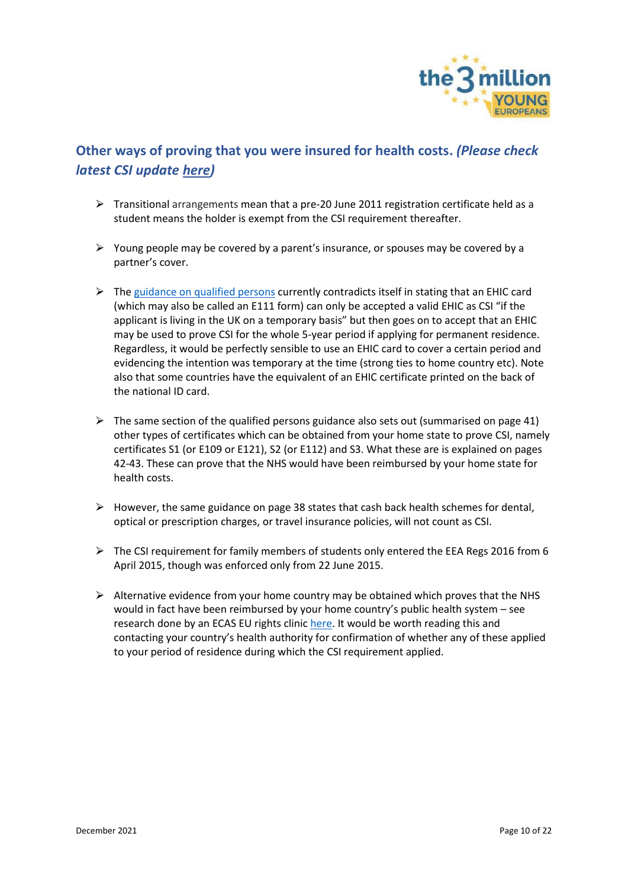

## <span id="page-9-0"></span>**Other ways of proving that you were insured for health costs.** *(Please check latest CSI update [here\)](https://www.the3million.org.uk/faq-1/csi)*

- $\triangleright$  Transitional arrangements mean that a pre-20 June 2011 registration certificate held as a student means the holder is exempt from the CSI requirement thereafter.
- $\triangleright$  Young people may be covered by a parent's insurance, or spouses may be covered by a partner's cover.
- $\triangleright$  The [guidance on qualified persons](https://assets.publishing.service.gov.uk/government/uploads/system/uploads/attachment_data/file/929556/eea-qualified-persons-v8.0-gov-uk.pdf) currently contradicts itself in stating that an EHIC card (which may also be called an E111 form) can only be accepted a valid EHIC as CSI "if the applicant is living in the UK on a temporary basis" but then goes on to accept that an EHIC may be used to prove CSI for the whole 5-year period if applying for permanent residence. Regardless, it would be perfectly sensible to use an EHIC card to cover a certain period and evidencing the intention was temporary at the time (strong ties to home country etc). Note also that some countries have the equivalent of an EHIC certificate printed on the back of the national ID card.
- $\triangleright$  The same section of the qualified persons guidance also sets out (summarised on page 41) other types of certificates which can be obtained from your home state to prove CSI, namely certificates S1 (or E109 or E121), S2 (or E112) and S3. What these are is explained on pages 42-43. These can prove that the NHS would have been reimbursed by your home state for health costs.
- $\triangleright$  However, the same guidance on page 38 states that cash back health schemes for dental, optical or prescription charges, or travel insurance policies, will not count as CSI.
- $\triangleright$  The CSI requirement for family members of students only entered the EEA Regs 2016 from 6 April 2015, though was enforced only from 22 June 2015.
- $\triangleright$  Alternative evidence from your home country may be obtained which proves that the NHS would in fact have been reimbursed by your home country's public health system – see research done by an ECAS EU rights clinic [here.](https://blogs.kent.ac.uk/eu-rights-clinic/csi-form-e-014-s041/) It would be worth reading this and contacting your country's health authority for confirmation of whether any of these applied to your period of residence during which the CSI requirement applied.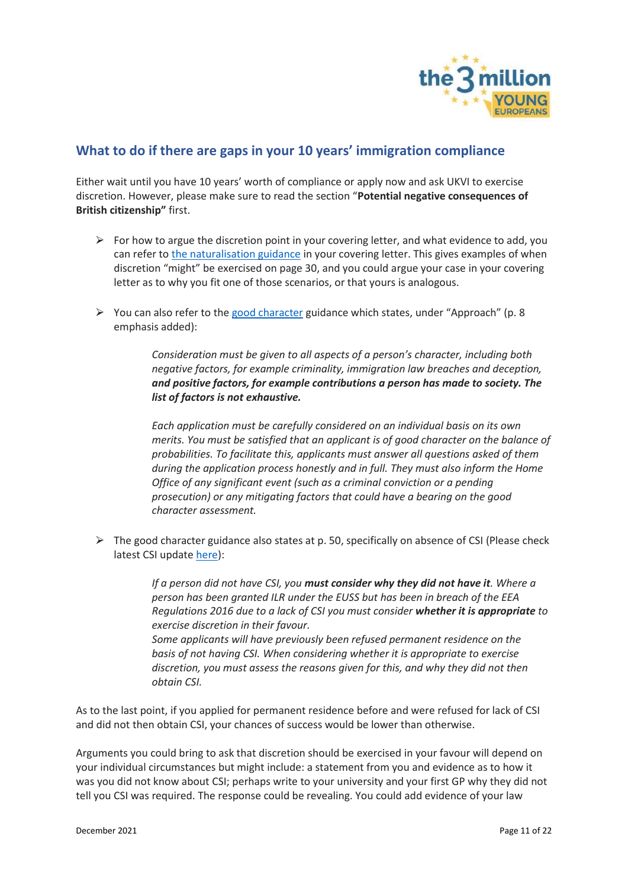

### <span id="page-10-0"></span>**What to do if there are gaps in your 10 years' immigration compliance**

Either wait until you have 10 years' worth of compliance or apply now and ask UKVI to exercise discretion. However, please make sure to read the section "**Potential negative consequences of British citizenship"** first.

- $\triangleright$  For how to argue the discretion point in your covering letter, and what evidence to add, you can refer t[o the naturalisation guidance](https://assets.publishing.service.gov.uk/government/uploads/system/uploads/attachment_data/file/914183/Naturalisation-as-a-british-citizen-by-discretion_v6.0.pdf) in your covering letter. This gives examples of when discretion "might" be exercised on page 30, and you could argue your case in your covering letter as to why you fit one of those scenarios, or that yours is analogous.
- $\triangleright$  You can also refer to the [good character](https://assets.publishing.service.gov.uk/government/uploads/system/uploads/attachment_data/file/923656/good-character-guidance-v2.0-gov-uk.pdf) guidance which states, under "Approach" (p. 8) emphasis added):

*Consideration must be given to all aspects of a person's character, including both negative factors, for example criminality, immigration law breaches and deception, and positive factors, for example contributions a person has made to society. The list of factors is not exhaustive.*

*Each application must be carefully considered on an individual basis on its own merits. You must be satisfied that an applicant is of good character on the balance of probabilities. To facilitate this, applicants must answer all questions asked of them during the application process honestly and in full. They must also inform the Home Office of any significant event (such as a criminal conviction or a pending prosecution) or any mitigating factors that could have a bearing on the good character assessment.*

 $\triangleright$  The good character guidance also states at p. 50, specifically on absence of CSI (Please check latest CSI update [here\)](https://www.the3million.org.uk/faq-1/csi):

> *If a person did not have CSI, you must consider why they did not have it. Where a person has been granted ILR under the EUSS but has been in breach of the EEA Regulations 2016 due to a lack of CSI you must consider whether it is appropriate to exercise discretion in their favour. Some applicants will have previously been refused permanent residence on the basis of not having CSI. When considering whether it is appropriate to exercise discretion, you must assess the reasons given for this, and why they did not then obtain CSI.*

As to the last point, if you applied for permanent residence before and were refused for lack of CSI and did not then obtain CSI, your chances of success would be lower than otherwise.

Arguments you could bring to ask that discretion should be exercised in your favour will depend on your individual circumstances but might include: a statement from you and evidence as to how it was you did not know about CSI; perhaps write to your university and your first GP why they did not tell you CSI was required. The response could be revealing. You could add evidence of your law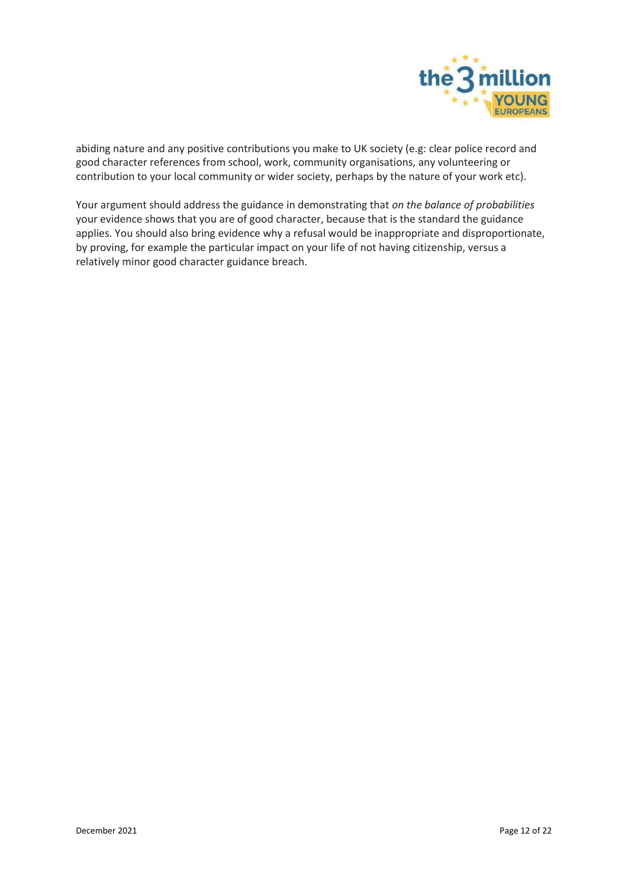

abiding nature and any positive contributions you make to UK society (e.g: clear police record and good character references from school, work, community organisations, any volunteering or contribution to your local community or wider society, perhaps by the nature of your work etc).

Your argument should address the guidance in demonstrating that *on the balance of probabilities* your evidence shows that you are of good character, because that is the standard the guidance applies. You should also bring evidence why a refusal would be inappropriate and disproportionate, by proving, for example the particular impact on your life of not having citizenship, versus a relatively minor good character guidance breach.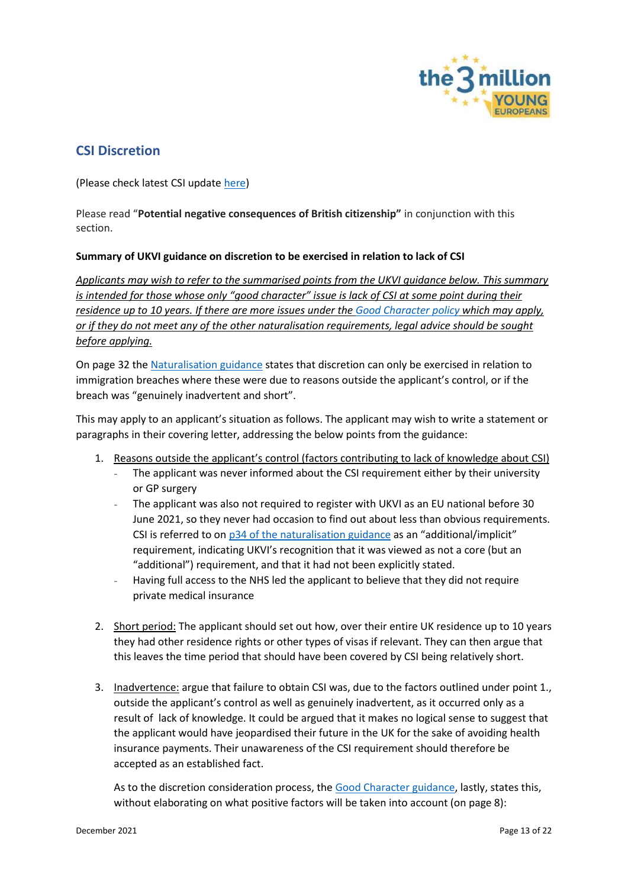

## <span id="page-12-0"></span>**CSI Discretion**

(Please check latest CSI update [here\)](https://www.the3million.org.uk/faq-1/csi)

Please read "**Potential negative consequences of British citizenship"** in conjunction with this section.

### **Summary of UKVI guidance on discretion to be exercised in relation to lack of CSI**

*Applicants may wish to refer to the summarised points from the UKVI guidance below. This summary is intended for those whose only "good character" issue is lack of CSI at some point during their residence up to 10 years. If there are more issues under the [Good Character policy](https://assets.publishing.service.gov.uk/government/uploads/system/uploads/attachment_data/file/923656/good-character-guidance-v2.0-gov-uk.pdf) which may apply, or if they do not meet any of the other naturalisation requirements, legal advice should be sought before applying.* 

On page 32 the [Naturalisation guidance](https://assets.publishing.service.gov.uk/government/uploads/system/uploads/attachment_data/file/1032568/Naturalisation_as_British_citizen_by_discretion.pdf) states that discretion can only be exercised in relation to immigration breaches where these were due to reasons outside the applicant's control, or if the breach was "genuinely inadvertent and short".

This may apply to an applicant's situation as follows. The applicant may wish to write a statement or paragraphs in their covering letter, addressing the below points from the guidance:

- 1. Reasons outside the applicant's control (factors contributing to lack of knowledge about CSI)
	- The applicant was never informed about the CSI requirement either by their university or GP surgery
	- The applicant was also not required to register with UKVI as an EU national before 30 June 2021, so they never had occasion to find out about less than obvious requirements. CSI is referred to on [p34 of the naturalisation guidance](https://assets.publishing.service.gov.uk/government/uploads/system/uploads/attachment_data/file/1032568/Naturalisation_as_British_citizen_by_discretion.pdf) as an "additional/implicit" requirement, indicating UKVI's recognition that it was viewed as not a core (but an "additional") requirement, and that it had not been explicitly stated.
	- Having full access to the NHS led the applicant to believe that they did not require private medical insurance
- 2. Short period: The applicant should set out how, over their entire UK residence up to 10 years they had other residence rights or other types of visas if relevant. They can then argue that this leaves the time period that should have been covered by CSI being relatively short.
- 3. Inadvertence: argue that failure to obtain CSI was, due to the factors outlined under point 1., outside the applicant's control as well as genuinely inadvertent, as it occurred only as a result of lack of knowledge. It could be argued that it makes no logical sense to suggest that the applicant would have jeopardised their future in the UK for the sake of avoiding health insurance payments. Their unawareness of the CSI requirement should therefore be accepted as an established fact.

As to the discretion consideration process, the [Good Character guidance,](https://assets.publishing.service.gov.uk/government/uploads/system/uploads/attachment_data/file/923656/good-character-guidance-v2.0-gov-uk.pdf) lastly, states this, without elaborating on what positive factors will be taken into account (on page 8):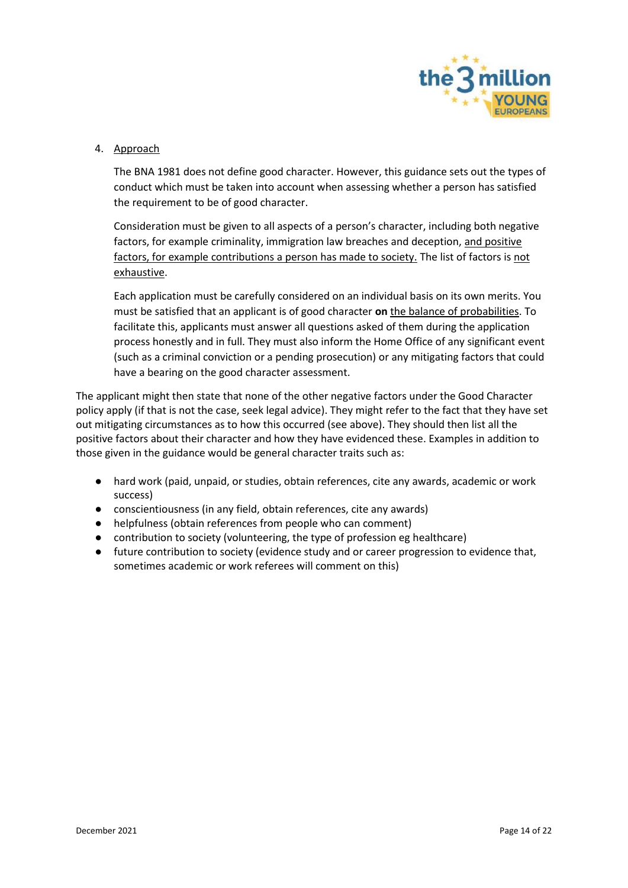

#### 4. Approach

The BNA 1981 does not define good character. However, this guidance sets out the types of conduct which must be taken into account when assessing whether a person has satisfied the requirement to be of good character.

Consideration must be given to all aspects of a person's character, including both negative factors, for example criminality, immigration law breaches and deception, and positive factors, for example contributions a person has made to society. The list of factors is not exhaustive.

Each application must be carefully considered on an individual basis on its own merits. You must be satisfied that an applicant is of good character **on** the balance of probabilities. To facilitate this, applicants must answer all questions asked of them during the application process honestly and in full. They must also inform the Home Office of any significant event (such as a criminal conviction or a pending prosecution) or any mitigating factors that could have a bearing on the good character assessment.

The applicant might then state that none of the other negative factors under the Good Character policy apply (if that is not the case, seek legal advice). They might refer to the fact that they have set out mitigating circumstances as to how this occurred (see above). They should then list all the positive factors about their character and how they have evidenced these. Examples in addition to those given in the guidance would be general character traits such as:

- hard work (paid, unpaid, or studies, obtain references, cite any awards, academic or work success)
- conscientiousness (in any field, obtain references, cite any awards)
- helpfulness (obtain references from people who can comment)
- contribution to society (volunteering, the type of profession eg healthcare)
- future contribution to society (evidence study and or career progression to evidence that, sometimes academic or work referees will comment on this)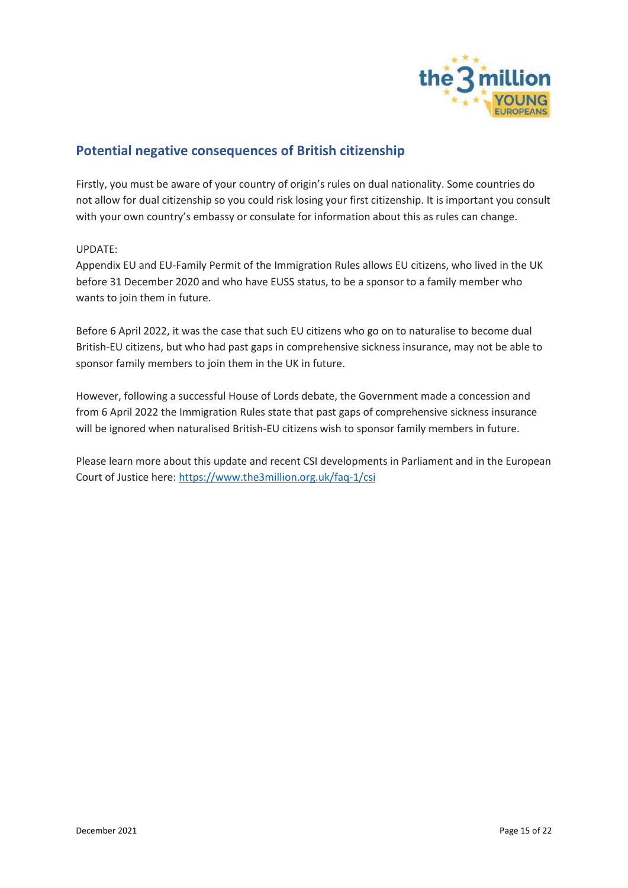

## <span id="page-14-0"></span>**Potential negative consequences of British citizenship**

Firstly, you must be aware of your country of origin's rules on dual nationality. Some countries do not allow for dual citizenship so you could risk losing your first citizenship. It is important you consult with your own country's embassy or consulate for information about this as rules can change.

#### UPDATE:

Appendix EU and EU-Family Permit of the Immigration Rules allows EU citizens, who lived in the UK before 31 December 2020 and who have EUSS status, to be a sponsor to a family member who wants to join them in future.

Before 6 April 2022, it was the case that such EU citizens who go on to naturalise to become dual British-EU citizens, but who had past gaps in comprehensive sickness insurance, may not be able to sponsor family members to join them in the UK in future.

However, following a successful House of Lords debate, the Government made a concession and from 6 April 2022 the Immigration Rules state that past gaps of comprehensive sickness insurance will be ignored when naturalised British-EU citizens wish to sponsor family members in future.

Please learn more about this update and recent CSI developments in Parliament and in the European Court of Justice here: https://www.the3million.org.uk/faq-1/csi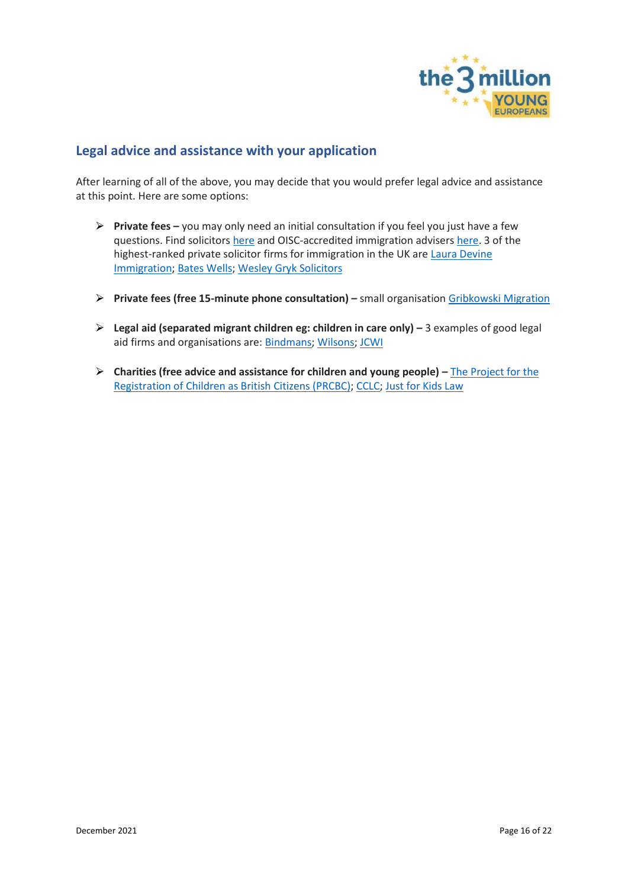

### <span id="page-15-0"></span>**Legal advice and assistance with your application**

After learning of all of the above, you may decide that you would prefer legal advice and assistance at this point. Here are some options:

- ⮚ **Private fees –** you may only need an initial consultation if you feel you just have a few questions. Find solicitor[s here](https://solicitors.lawsociety.org.uk/) and OISC-accredited immigration advisers [here.](https://home.oisc.gov.uk/adviser_finder/finder.aspx) 3 of the highest-ranked private solicitor firms for immigration in the UK are [Laura Devine](https://www.lauradevine.com/london-office/)  [Immigration;](https://www.lauradevine.com/london-office/) [Bates Wells;](https://bateswells.co.uk/services/immigration/) [Wesley Gryk Solicitors](https://www.gryklaw.com/)
- ⮚ **Private fees (free 15-minute phone consultation) –** small organisation [Gribkowski Migration](https://www.gribkowskimigration.co.uk/)
- ⮚ **Legal aid (separated migrant children eg: children in care only) –** 3 examples of good legal aid firms and organisations are: [Bindmans;](https://www.bindmans.com/what-we-do/nationality) [Wilsons;](https://www.wilsonllp.co.uk/immigration-law/) [JCWI](https://www.jcwi.org.uk/pages/category/legal-advice)
- ⮚ **Charities (free advice and assistance for children and young people) –** [The Project for the](https://prcbc.org/)  [Registration of Children as British Citizens \(PRCBC\);](https://prcbc.org/) [CCLC;](https://www.childrenslegalcentre.com/get-legal-advice/immigration-asylum-nationality/) [Just for Kids Law](https://justforkidslaw.org/what-we-do)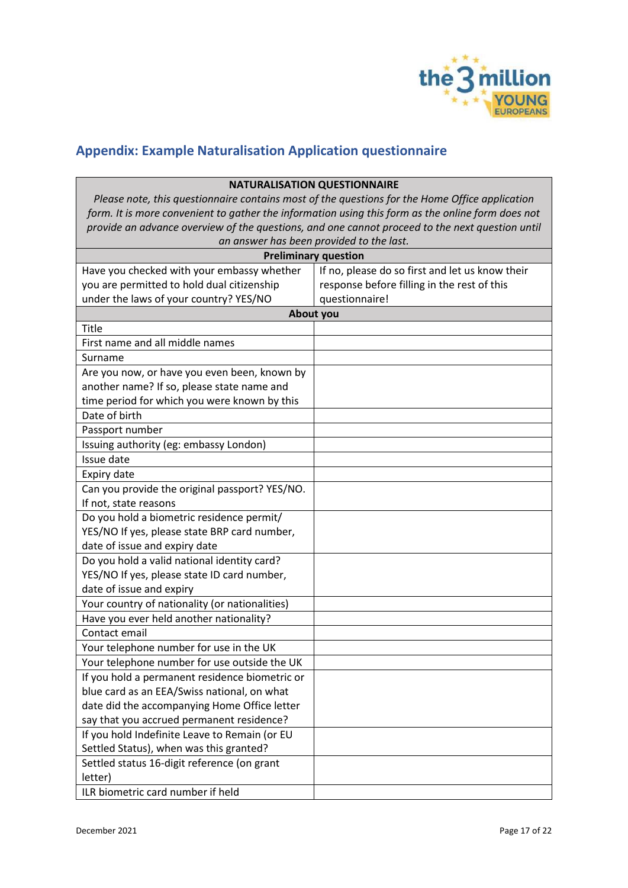

# <span id="page-16-0"></span>**Appendix: Example Naturalisation Application questionnaire**

| <b>NATURALISATION QUESTIONNAIRE</b>                                                               |                                                 |  |
|---------------------------------------------------------------------------------------------------|-------------------------------------------------|--|
| Please note, this questionnaire contains most of the questions for the Home Office application    |                                                 |  |
| form. It is more convenient to gather the information using this form as the online form does not |                                                 |  |
| provide an advance overview of the questions, and one cannot proceed to the next question until   |                                                 |  |
| an answer has been provided to the last.                                                          |                                                 |  |
|                                                                                                   | <b>Preliminary question</b>                     |  |
| Have you checked with your embassy whether                                                        | If no, please do so first and let us know their |  |
| you are permitted to hold dual citizenship                                                        | response before filling in the rest of this     |  |
| under the laws of your country? YES/NO                                                            | questionnaire!                                  |  |
| <b>About you</b>                                                                                  |                                                 |  |
| Title                                                                                             |                                                 |  |
| First name and all middle names                                                                   |                                                 |  |
| Surname                                                                                           |                                                 |  |
| Are you now, or have you even been, known by                                                      |                                                 |  |
| another name? If so, please state name and                                                        |                                                 |  |
| time period for which you were known by this                                                      |                                                 |  |
| Date of birth                                                                                     |                                                 |  |
| Passport number                                                                                   |                                                 |  |
| Issuing authority (eg: embassy London)                                                            |                                                 |  |
| Issue date                                                                                        |                                                 |  |
| Expiry date                                                                                       |                                                 |  |
| Can you provide the original passport? YES/NO.                                                    |                                                 |  |
| If not, state reasons                                                                             |                                                 |  |
| Do you hold a biometric residence permit/                                                         |                                                 |  |
| YES/NO If yes, please state BRP card number,                                                      |                                                 |  |
| date of issue and expiry date                                                                     |                                                 |  |
| Do you hold a valid national identity card?                                                       |                                                 |  |
| YES/NO If yes, please state ID card number,                                                       |                                                 |  |
| date of issue and expiry                                                                          |                                                 |  |
| Your country of nationality (or nationalities)                                                    |                                                 |  |
| Have you ever held another nationality?                                                           |                                                 |  |
| Contact email                                                                                     |                                                 |  |
| Your telephone number for use in the UK                                                           |                                                 |  |
| Your telephone number for use outside the UK                                                      |                                                 |  |
| If you hold a permanent residence biometric or                                                    |                                                 |  |
| blue card as an EEA/Swiss national, on what                                                       |                                                 |  |
| date did the accompanying Home Office letter                                                      |                                                 |  |
| say that you accrued permanent residence?                                                         |                                                 |  |
| If you hold Indefinite Leave to Remain (or EU                                                     |                                                 |  |
| Settled Status), when was this granted?                                                           |                                                 |  |
| Settled status 16-digit reference (on grant                                                       |                                                 |  |
| letter)                                                                                           |                                                 |  |
| ILR biometric card number if held                                                                 |                                                 |  |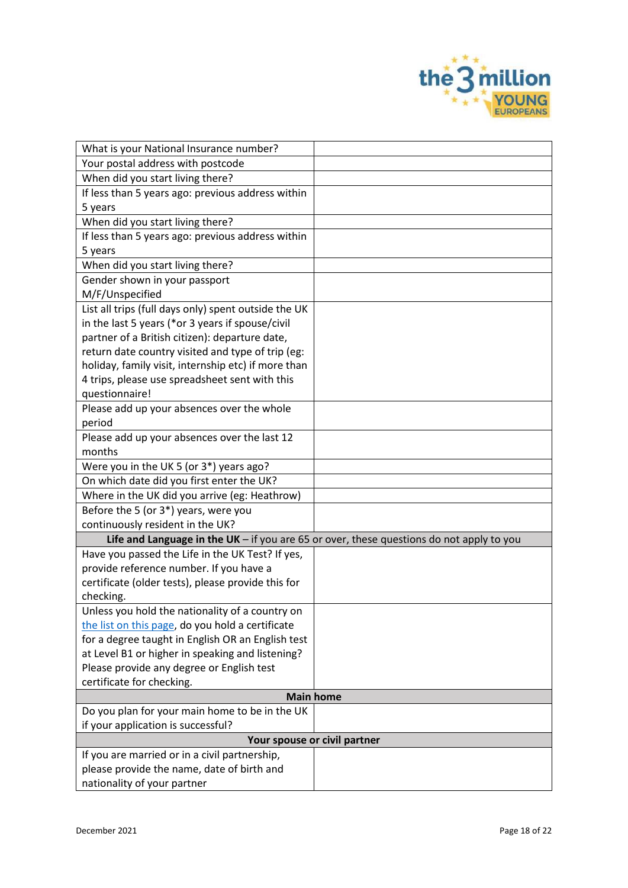

| What is your National Insurance number?                                  |                                                                                          |
|--------------------------------------------------------------------------|------------------------------------------------------------------------------------------|
| Your postal address with postcode                                        |                                                                                          |
| When did you start living there?                                         |                                                                                          |
| If less than 5 years ago: previous address within                        |                                                                                          |
| 5 years                                                                  |                                                                                          |
| When did you start living there?                                         |                                                                                          |
| If less than 5 years ago: previous address within                        |                                                                                          |
| 5 years                                                                  |                                                                                          |
| When did you start living there?                                         |                                                                                          |
| Gender shown in your passport                                            |                                                                                          |
| M/F/Unspecified                                                          |                                                                                          |
| List all trips (full days only) spent outside the UK                     |                                                                                          |
| in the last 5 years (*or 3 years if spouse/civil                         |                                                                                          |
| partner of a British citizen): departure date,                           |                                                                                          |
| return date country visited and type of trip (eg:                        |                                                                                          |
| holiday, family visit, internship etc) if more than                      |                                                                                          |
| 4 trips, please use spreadsheet sent with this                           |                                                                                          |
| questionnaire!                                                           |                                                                                          |
| Please add up your absences over the whole                               |                                                                                          |
| period                                                                   |                                                                                          |
| Please add up your absences over the last 12                             |                                                                                          |
| months                                                                   |                                                                                          |
| Were you in the UK 5 (or 3*) years ago?                                  |                                                                                          |
| On which date did you first enter the UK?                                |                                                                                          |
| Where in the UK did you arrive (eg: Heathrow)                            |                                                                                          |
| Before the 5 (or 3*) years, were you<br>continuously resident in the UK? |                                                                                          |
|                                                                          | Life and Language in the UK - if you are 65 or over, these questions do not apply to you |
| Have you passed the Life in the UK Test? If yes,                         |                                                                                          |
| provide reference number. If you have a                                  |                                                                                          |
| certificate (older tests), please provide this for                       |                                                                                          |
| checking.                                                                |                                                                                          |
| Unless you hold the nationality of a country on                          |                                                                                          |
| the list on this page, do you hold a certificate                         |                                                                                          |
| for a degree taught in English OR an English test                        |                                                                                          |
| at Level B1 or higher in speaking and listening?                         |                                                                                          |
| Please provide any degree or English test                                |                                                                                          |
| certificate for checking.                                                |                                                                                          |
|                                                                          | <b>Main home</b>                                                                         |
| Do you plan for your main home to be in the UK                           |                                                                                          |
| if your application is successful?                                       |                                                                                          |
|                                                                          | Your spouse or civil partner                                                             |
| If you are married or in a civil partnership,                            |                                                                                          |
| please provide the name, date of birth and                               |                                                                                          |
| nationality of your partner                                              |                                                                                          |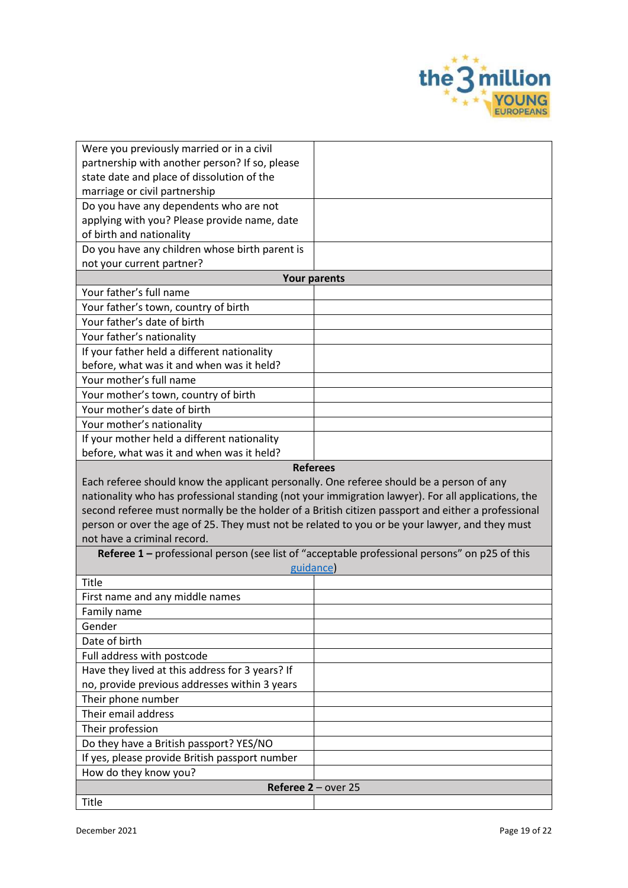

| Were you previously married or in a civil                                                          |                                                                                          |
|----------------------------------------------------------------------------------------------------|------------------------------------------------------------------------------------------|
| partnership with another person? If so, please                                                     |                                                                                          |
| state date and place of dissolution of the                                                         |                                                                                          |
| marriage or civil partnership                                                                      |                                                                                          |
| Do you have any dependents who are not                                                             |                                                                                          |
| applying with you? Please provide name, date                                                       |                                                                                          |
| of birth and nationality                                                                           |                                                                                          |
| Do you have any children whose birth parent is                                                     |                                                                                          |
| not your current partner?                                                                          |                                                                                          |
| <b>Your parents</b>                                                                                |                                                                                          |
| Your father's full name                                                                            |                                                                                          |
| Your father's town, country of birth                                                               |                                                                                          |
| Your father's date of birth                                                                        |                                                                                          |
| Your father's nationality                                                                          |                                                                                          |
| If your father held a different nationality                                                        |                                                                                          |
| before, what was it and when was it held?                                                          |                                                                                          |
| Your mother's full name                                                                            |                                                                                          |
| Your mother's town, country of birth                                                               |                                                                                          |
| Your mother's date of birth                                                                        |                                                                                          |
| Your mother's nationality                                                                          |                                                                                          |
| If your mother held a different nationality                                                        |                                                                                          |
| before, what was it and when was it held?                                                          |                                                                                          |
| <b>Referees</b>                                                                                    |                                                                                          |
|                                                                                                    |                                                                                          |
|                                                                                                    |                                                                                          |
| nationality who has professional standing (not your immigration lawyer). For all applications, the | Each referee should know the applicant personally. One referee should be a person of any |
| second referee must normally be the holder of a British citizen passport and either a professional |                                                                                          |
| person or over the age of 25. They must not be related to you or be your lawyer, and they must     |                                                                                          |
| not have a criminal record.                                                                        |                                                                                          |
| Referee 1 - professional person (see list of "acceptable professional persons" on p25 of this      |                                                                                          |
| guidance)                                                                                          |                                                                                          |
| Title                                                                                              |                                                                                          |
| First name and any middle names                                                                    |                                                                                          |
| Family name                                                                                        |                                                                                          |
| Gender                                                                                             |                                                                                          |
| Date of birth                                                                                      |                                                                                          |
| Full address with postcode                                                                         |                                                                                          |
| Have they lived at this address for 3 years? If                                                    |                                                                                          |
| no, provide previous addresses within 3 years                                                      |                                                                                          |
| Their phone number                                                                                 |                                                                                          |
| Their email address                                                                                |                                                                                          |
| Their profession                                                                                   |                                                                                          |
| Do they have a British passport? YES/NO                                                            |                                                                                          |
| If yes, please provide British passport number                                                     |                                                                                          |
| How do they know you?                                                                              |                                                                                          |

Title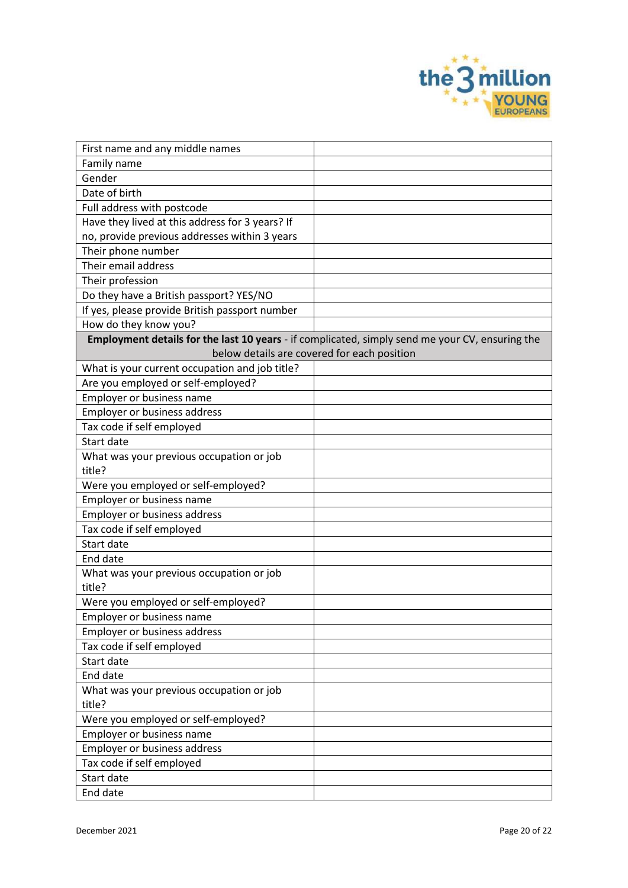

| First name and any middle names                 |                                                                                                 |
|-------------------------------------------------|-------------------------------------------------------------------------------------------------|
| Family name                                     |                                                                                                 |
| Gender                                          |                                                                                                 |
| Date of birth                                   |                                                                                                 |
| Full address with postcode                      |                                                                                                 |
| Have they lived at this address for 3 years? If |                                                                                                 |
| no, provide previous addresses within 3 years   |                                                                                                 |
| Their phone number                              |                                                                                                 |
| Their email address                             |                                                                                                 |
| Their profession                                |                                                                                                 |
| Do they have a British passport? YES/NO         |                                                                                                 |
| If yes, please provide British passport number  |                                                                                                 |
| How do they know you?                           |                                                                                                 |
|                                                 | Employment details for the last 10 years - if complicated, simply send me your CV, ensuring the |
|                                                 | below details are covered for each position                                                     |
| What is your current occupation and job title?  |                                                                                                 |
| Are you employed or self-employed?              |                                                                                                 |
| Employer or business name                       |                                                                                                 |
| <b>Employer or business address</b>             |                                                                                                 |
| Tax code if self employed                       |                                                                                                 |
| Start date                                      |                                                                                                 |
| What was your previous occupation or job        |                                                                                                 |
| title?                                          |                                                                                                 |
| Were you employed or self-employed?             |                                                                                                 |
| Employer or business name                       |                                                                                                 |
| <b>Employer or business address</b>             |                                                                                                 |
| Tax code if self employed                       |                                                                                                 |
| Start date                                      |                                                                                                 |
| End date                                        |                                                                                                 |
| What was your previous occupation or job        |                                                                                                 |
| title?                                          |                                                                                                 |
| Were you employed or self-employed?             |                                                                                                 |
| Employer or business name                       |                                                                                                 |
| Employer or business address                    |                                                                                                 |
| Tax code if self employed                       |                                                                                                 |
| Start date                                      |                                                                                                 |
| End date                                        |                                                                                                 |
| What was your previous occupation or job        |                                                                                                 |
| title?                                          |                                                                                                 |
| Were you employed or self-employed?             |                                                                                                 |
| Employer or business name                       |                                                                                                 |
| Employer or business address                    |                                                                                                 |
| Tax code if self employed                       |                                                                                                 |
| Start date                                      |                                                                                                 |
| End date                                        |                                                                                                 |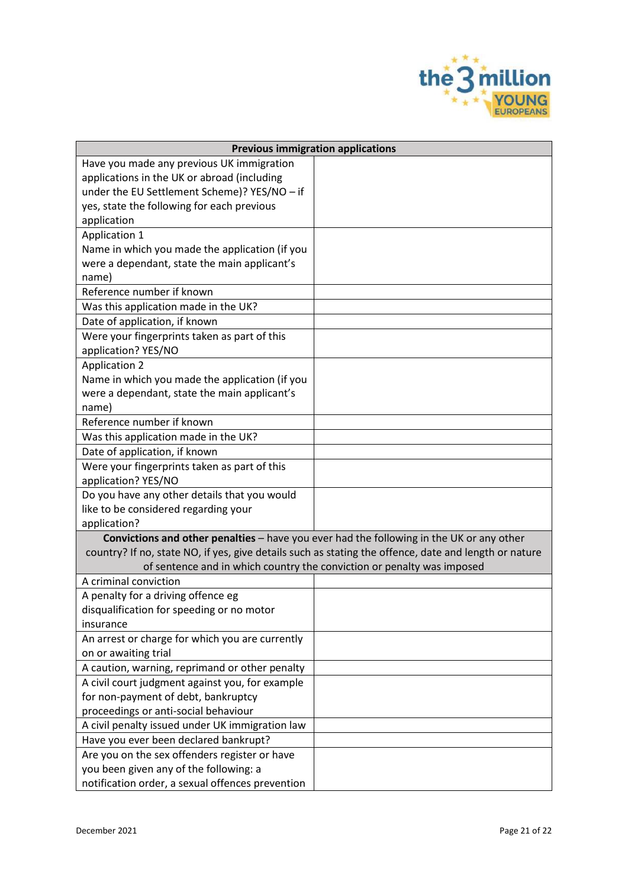

|                                                  | <b>Previous immigration applications</b>                                                              |
|--------------------------------------------------|-------------------------------------------------------------------------------------------------------|
| Have you made any previous UK immigration        |                                                                                                       |
| applications in the UK or abroad (including      |                                                                                                       |
| under the EU Settlement Scheme)? YES/NO - if     |                                                                                                       |
| yes, state the following for each previous       |                                                                                                       |
| application                                      |                                                                                                       |
| <b>Application 1</b>                             |                                                                                                       |
| Name in which you made the application (if you   |                                                                                                       |
| were a dependant, state the main applicant's     |                                                                                                       |
| name)                                            |                                                                                                       |
| Reference number if known                        |                                                                                                       |
| Was this application made in the UK?             |                                                                                                       |
| Date of application, if known                    |                                                                                                       |
| Were your fingerprints taken as part of this     |                                                                                                       |
| application? YES/NO                              |                                                                                                       |
| <b>Application 2</b>                             |                                                                                                       |
| Name in which you made the application (if you   |                                                                                                       |
| were a dependant, state the main applicant's     |                                                                                                       |
| name)                                            |                                                                                                       |
| Reference number if known                        |                                                                                                       |
| Was this application made in the UK?             |                                                                                                       |
| Date of application, if known                    |                                                                                                       |
| Were your fingerprints taken as part of this     |                                                                                                       |
| application? YES/NO                              |                                                                                                       |
| Do you have any other details that you would     |                                                                                                       |
| like to be considered regarding your             |                                                                                                       |
| application?                                     |                                                                                                       |
|                                                  | Convictions and other penalties - have you ever had the following in the UK or any other              |
|                                                  | country? If no, state NO, if yes, give details such as stating the offence, date and length or nature |
|                                                  | of sentence and in which country the conviction or penalty was imposed                                |
| A criminal conviction                            |                                                                                                       |
| A penalty for a driving offence eg               |                                                                                                       |
| disqualification for speeding or no motor        |                                                                                                       |
| insurance                                        |                                                                                                       |
| An arrest or charge for which you are currently  |                                                                                                       |
| on or awaiting trial                             |                                                                                                       |
| A caution, warning, reprimand or other penalty   |                                                                                                       |
| A civil court judgment against you, for example  |                                                                                                       |
| for non-payment of debt, bankruptcy              |                                                                                                       |
| proceedings or anti-social behaviour             |                                                                                                       |
| A civil penalty issued under UK immigration law  |                                                                                                       |
| Have you ever been declared bankrupt?            |                                                                                                       |
| Are you on the sex offenders register or have    |                                                                                                       |
| you been given any of the following: a           |                                                                                                       |
| notification order, a sexual offences prevention |                                                                                                       |